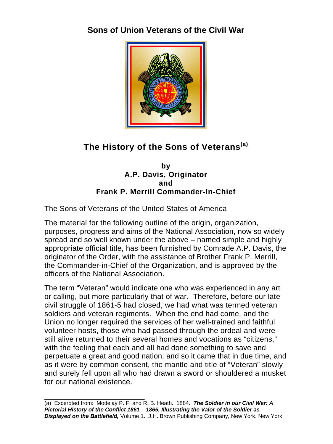# **Sons of Union Veterans of the Civil War**



# **The History of the Sons of Veterans(a)**

#### **by A.P. Davis, Originator and Frank P. Merrill Commander-In-Chief**

The Sons of Veterans of the United States of America

The material for the following outline of the origin, organization, purposes, progress and aims of the National Association, now so widely spread and so well known under the above – named simple and highly appropriate official title, has been furnished by Comrade A.P. Davis, the originator of the Order, with the assistance of Brother Frank P. Merrill, the Commander-in-Chief of the Organization, and is approved by the officers of the National Association.

The term "Veteran" would indicate one who was experienced in any art or calling, but more particularly that of war. Therefore, before our late civil struggle of 1861-5 had closed, we had what was termed veteran soldiers and veteran regiments. When the end had come, and the Union no longer required the services of her well-trained and faithful volunteer hosts, those who had passed through the ordeal and were still alive returned to their several homes and vocations as "citizens," with the feeling that each and all had done something to save and perpetuate a great and good nation; and so it came that in due time, and as it were by common consent, the mantle and title of "Veteran" slowly and surely fell upon all who had drawn a sword or shouldered a musket for our national existence.

\_\_\_\_\_\_\_\_\_\_\_\_\_\_\_\_\_\_\_\_\_\_\_\_ (a) Excerpted from: Mottelay P. F. and R. B. Heath. 1884. *The Soldier in our Civil War: A Pictorial History of the Conflict 1861 – 1865, Illustrating the Valor of the Soldier as Displayed on the Battlefield,* Volume 1. J.H. Brown Publishing Company, New York, New York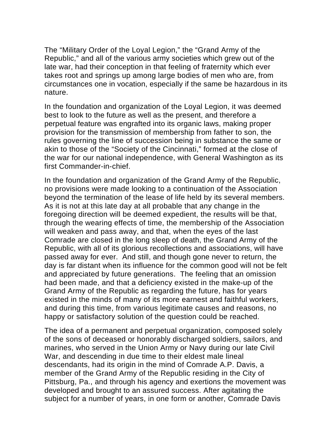The "Military Order of the Loyal Legion," the "Grand Army of the Republic," and all of the various army societies which grew out of the late war, had their conception in that feeling of fraternity which ever takes root and springs up among large bodies of men who are, from circumstances one in vocation, especially if the same be hazardous in its nature.

In the foundation and organization of the Loyal Legion, it was deemed best to look to the future as well as the present, and therefore a perpetual feature was engrafted into its organic laws, making proper provision for the transmission of membership from father to son, the rules governing the line of succession being in substance the same or akin to those of the "Society of the Cincinnati," formed at the close of the war for our national independence, with General Washington as its first Commander-in-chief.

In the foundation and organization of the Grand Army of the Republic, no provisions were made looking to a continuation of the Association beyond the termination of the lease of life held by its several members. As it is not at this late day at all probable that any change in the foregoing direction will be deemed expedient, the results will be that, through the wearing effects of time, the membership of the Association will weaken and pass away, and that, when the eyes of the last Comrade are closed in the long sleep of death, the Grand Army of the Republic, with all of its glorious recollections and associations, will have passed away for ever. And still, and though gone never to return, the day is far distant when its influence for the common good will not be felt and appreciated by future generations. The feeling that an omission had been made, and that a deficiency existed in the make-up of the Grand Army of the Republic as regarding the future, has for years existed in the minds of many of its more earnest and faithful workers, and during this time, from various legitimate causes and reasons, no happy or satisfactory solution of the question could be reached.

The idea of a permanent and perpetual organization, composed solely of the sons of deceased or honorably discharged soldiers, sailors, and marines, who served in the Union Army or Navy during our late Civil War, and descending in due time to their eldest male lineal descendants, had its origin in the mind of Comrade A.P. Davis, a member of the Grand Army of the Republic residing in the City of Pittsburg, Pa., and through his agency and exertions the movement was developed and brought to an assured success. After agitating the subject for a number of years, in one form or another, Comrade Davis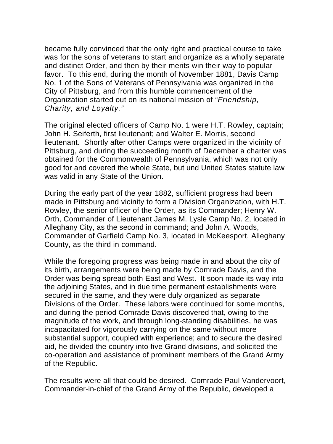became fully convinced that the only right and practical course to take was for the sons of veterans to start and organize as a wholly separate and distinct Order, and then by their merits win their way to popular favor. To this end, during the month of November 1881, Davis Camp No. 1 of the Sons of Veterans of Pennsylvania was organized in the City of Pittsburg, and from this humble commencement of the Organization started out on its national mission of *"Friendship, Charity, and Loyalty."* 

The original elected officers of Camp No. 1 were H.T. Rowley, captain; John H. Seiferth, first lieutenant; and Walter E. Morris, second lieutenant. Shortly after other Camps were organized in the vicinity of Pittsburg, and during the succeeding month of December a charter was obtained for the Commonwealth of Pennsylvania, which was not only good for and covered the whole State, but und United States statute law was valid in any State of the Union.

During the early part of the year 1882, sufficient progress had been made in Pittsburg and vicinity to form a Division Organization, with H.T. Rowley, the senior officer of the Order, as its Commander; Henry W. Orth, Commander of Lieutenant James M. Lysle Camp No. 2, located in Alleghany City, as the second in command; and John A. Woods, Commander of Garfield Camp No. 3, located in McKeesport, Alleghany County, as the third in command.

While the foregoing progress was being made in and about the city of its birth, arrangements were being made by Comrade Davis, and the Order was being spread both East and West. It soon made its way into the adjoining States, and in due time permanent establishments were secured in the same, and they were duly organized as separate Divisions of the Order. These labors were continued for some months, and during the period Comrade Davis discovered that, owing to the magnitude of the work, and through long-standing disabilities, he was incapacitated for vigorously carrying on the same without more substantial support, coupled with experience; and to secure the desired aid, he divided the country into five Grand divisions, and solicited the co-operation and assistance of prominent members of the Grand Army of the Republic.

The results were all that could be desired. Comrade Paul Vandervoort, Commander-in-chief of the Grand Army of the Republic, developed a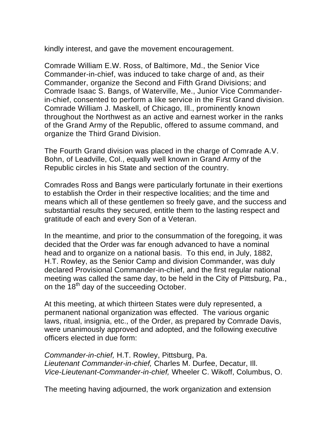kindly interest, and gave the movement encouragement.

Comrade William E.W. Ross, of Baltimore, Md., the Senior Vice Commander-in-chief, was induced to take charge of and, as their Commander, organize the Second and Fifth Grand Divisions; and Comrade Isaac S. Bangs, of Waterville, Me., Junior Vice Commanderin-chief, consented to perform a like service in the First Grand division. Comrade William J. Maskell, of Chicago, Ill., prominently known throughout the Northwest as an active and earnest worker in the ranks of the Grand Army of the Republic, offered to assume command, and organize the Third Grand Division.

The Fourth Grand division was placed in the charge of Comrade A.V. Bohn, of Leadville, Col., equally well known in Grand Army of the Republic circles in his State and section of the country.

Comrades Ross and Bangs were particularly fortunate in their exertions to establish the Order in their respective localities; and the time and means which all of these gentlemen so freely gave, and the success and substantial results they secured, entitle them to the lasting respect and gratitude of each and every Son of a Veteran.

In the meantime, and prior to the consummation of the foregoing, it was decided that the Order was far enough advanced to have a nominal head and to organize on a national basis. To this end, in July, 1882, H.T. Rowley, as the Senior Camp and division Commander, was duly declared Provisional Commander-in-chief, and the first regular national meeting was called the same day, to be held in the City of Pittsburg, Pa., on the 18<sup>th</sup> day of the succeeding October.

At this meeting, at which thirteen States were duly represented, a permanent national organization was effected. The various organic laws, ritual, insignia, etc., of the Order, as prepared by Comrade Davis, were unanimously approved and adopted, and the following executive officers elected in due form:

*Commander-in-chief,* H.T. Rowley, Pittsburg, Pa. *Lieutenant Commander-in-chief,* Charles M. Durfee, Decatur, Ill. *Vice-Lieutenant-Commander-in-chief,* Wheeler C. Wikoff, Columbus, O.

The meeting having adjourned, the work organization and extension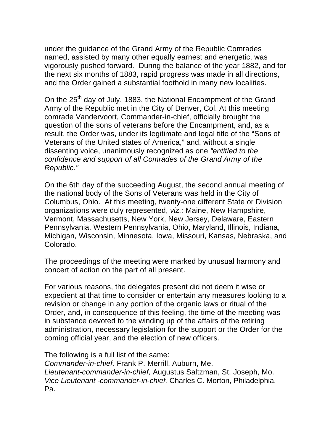under the guidance of the Grand Army of the Republic Comrades named, assisted by many other equally earnest and energetic, was vigorously pushed forward. During the balance of the year 1882, and for the next six months of 1883, rapid progress was made in all directions, and the Order gained a substantial foothold in many new localities.

On the 25<sup>th</sup> day of July, 1883, the National Encampment of the Grand Army of the Republic met in the City of Denver, Col. At this meeting comrade Vandervoort, Commander-in-chief, officially brought the question of the sons of veterans before the Encampment, and, as a result, the Order was, under its legitimate and legal title of the "Sons of Veterans of the United states of America," and, without a single dissenting voice, unanimously recognized as one *"entitled to the confidence and support of all Comrades of the Grand Army of the Republic."* 

On the 6th day of the succeeding August, the second annual meeting of the national body of the Sons of Veterans was held in the City of Columbus, Ohio. At this meeting, twenty-one different State or Division organizations were duly represented, *viz.:* Maine, New Hampshire, Vermont, Massachusetts, New York, New Jersey, Delaware, Eastern Pennsylvania, Western Pennsylvania, Ohio, Maryland, Illinois, Indiana, Michigan, Wisconsin, Minnesota, Iowa, Missouri, Kansas, Nebraska, and Colorado.

The proceedings of the meeting were marked by unusual harmony and concert of action on the part of all present.

For various reasons, the delegates present did not deem it wise or expedient at that time to consider or entertain any measures looking to a revision or change in any portion of the organic laws or ritual of the Order, and, in consequence of this feeling, the time of the meeting was in substance devoted to the winding up of the affairs of the retiring administration, necessary legislation for the support or the Order for the coming official year, and the election of new officers.

The following is a full list of the same: *Commander-in-chief,* Frank P. Merrill, Auburn, Me. *Lieutenant-commander-in-chief,* Augustus Saltzman, St. Joseph, Mo. *Vice Lieutenant -commander-in-chief,* Charles C. Morton, Philadelphia, Pa.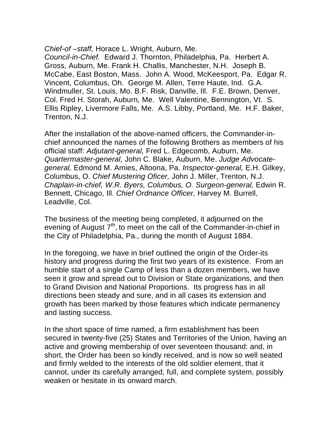*Chief-of –staff,* Horace L. Wright, Auburn, Me.

*Council-in-Chief.* Edward J. Thornton, Philadelphia, Pa. Herbert A. Gross, Auburn, Me. Frank H. Challis, Manchester, N.H. Joseph B. McCabe, East Boston, Mass. John A. Wood, McKeesport, Pa. Edgar R. Vincent, Columbus, Oh. George M. Allen, Terre Haute, Ind. G.A. Windmuller, St. Louis, Mo. B.F. Risk, Danville, Ill. F.E. Brown, Denver, Col. Fred H. Storah, Auburn, Me. Well Valentine, Bennington, Vt. S. Ellis Ripley, Livermore Falls, Me. A.S. Libby, Portland, Me. H.F. Baker, Trenton, N.J.

After the installation of the above-named officers, the Commander-inchief announced the names of the following Brothers as members of his official staff: *Adjutant-general,* Fred L. Edgecomb, Auburn, Me. *Quartermaster-general,* John C. Blake, Auburn, Me. *Judge Advocategeneral,* Edmond M. Amies, Altoona, Pa. *Inspector-general,* E.H. Gilkey, Columbus, O. *Chief Mustering Oficer,* John J. Miller, Trenton, N.J. *Chaplain-in-chief, W.R. Byers, Columbus, O. Surgeon-general,* Edwin R. Bennett, Chicago, Ill. *Chief Ordnance Officer,* Harvey M. Burrell, Leadville, Col.

The business of the meeting being completed, it adjourned on the evening of August  $7<sup>th</sup>$ , to meet on the call of the Commander-in-chief in the City of Philadelphia, Pa., during the month of August 1884.

In the foregoing, we have in brief outlined the origin of the Order-its history and progress during the first two years of its existence. From an humble start of a single Camp of less than a dozen members, we have seen it grow and spread out to Division or State organizations, and then to Grand Division and National Proportions. Its progress has in all directions been steady and sure, and in all cases its extension and growth has been marked by those features which indicate permanency and lasting success.

In the short space of time named, a firm establishment has been secured in twenty-five (25) States and Territories of the Union, having an active and growing membership of over seventeen thousand: and, in short, the Order has been so kindly received, and is now so well seated and firmly welded to the interests of the old soldier element, that it cannot, under its carefully arranged, full, and complete system, possibly weaken or hesitate in its onward march.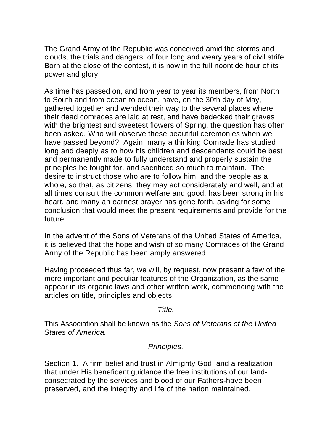The Grand Army of the Republic was conceived amid the storms and clouds, the trials and dangers, of four long and weary years of civil strife. Born at the close of the contest, it is now in the full noontide hour of its power and glory.

As time has passed on, and from year to year its members, from North to South and from ocean to ocean, have, on the 30th day of May, gathered together and wended their way to the several places where their dead comrades are laid at rest, and have bedecked their graves with the brightest and sweetest flowers of Spring, the question has often been asked, Who will observe these beautiful ceremonies when we have passed beyond? Again, many a thinking Comrade has studied long and deeply as to how his children and descendants could be best and permanently made to fully understand and properly sustain the principles he fought for, and sacrificed so much to maintain. The desire to instruct those who are to follow him, and the people as a whole, so that, as citizens, they may act considerately and well, and at all times consult the common welfare and good, has been strong in his heart, and many an earnest prayer has gone forth, asking for some conclusion that would meet the present requirements and provide for the future.

In the advent of the Sons of Veterans of the United States of America, it is believed that the hope and wish of so many Comrades of the Grand Army of the Republic has been amply answered.

Having proceeded thus far, we will, by request, now present a few of the more important and peculiar features of the Organization, as the same appear in its organic laws and other written work, commencing with the articles on title, principles and objects:

#### *Title.*

This Association shall be known as the *Sons of Veterans of the United States of America.* 

#### *Principles.*

Section 1. A firm belief and trust in Almighty God, and a realization that under His beneficent guidance the free institutions of our landconsecrated by the services and blood of our Fathers-have been preserved, and the integrity and life of the nation maintained.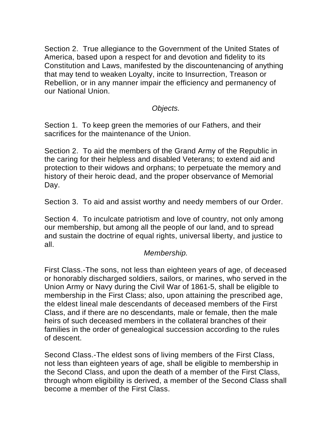Section 2. True allegiance to the Government of the United States of America, based upon a respect for and devotion and fidelity to its Constitution and Laws, manifested by the discountenancing of anything that may tend to weaken Loyalty, incite to Insurrection, Treason or Rebellion, or in any manner impair the efficiency and permanency of our National Union.

*Objects.* 

Section 1. To keep green the memories of our Fathers, and their sacrifices for the maintenance of the Union.

Section 2. To aid the members of the Grand Army of the Republic in the caring for their helpless and disabled Veterans; to extend aid and protection to their widows and orphans; to perpetuate the memory and history of their heroic dead, and the proper observance of Memorial Day.

Section 3. To aid and assist worthy and needy members of our Order.

Section 4. To inculcate patriotism and love of country, not only among our membership, but among all the people of our land, and to spread and sustain the doctrine of equal rights, universal liberty, and justice to all.

#### *Membership.*

First Class.-The sons, not less than eighteen years of age, of deceased or honorably discharged soldiers, sailors, or marines, who served in the Union Army or Navy during the Civil War of 1861-5, shall be eligible to membership in the First Class; also, upon attaining the prescribed age, the eldest lineal male descendants of deceased members of the First Class, and if there are no descendants, male or female, then the male heirs of such deceased members in the collateral branches of their families in the order of genealogical succession according to the rules of descent.

Second Class.-The eldest sons of living members of the First Class, not less than eighteen years of age, shall be eligible to membership in the Second Class, and upon the death of a member of the First Class, through whom eligibility is derived, a member of the Second Class shall become a member of the First Class.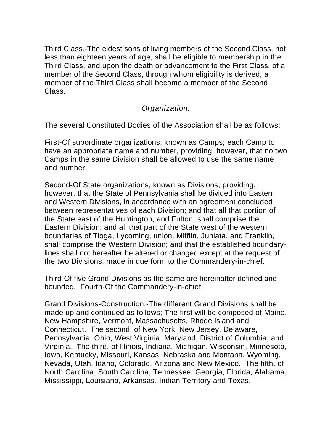Third Class.-The eldest sons of living members of the Second Class, not less than eighteen years of age, shall be eligible to membership in the Third Class, and upon the death or advancement to the First Class, of a member of the Second Class, through whom eligibility is derived, a member of the Third Class shall become a member of the Second Class.

*Organization.* 

The several Constituted Bodies of the Association shall be as follows:

First-Of subordinate organizations, known as Camps; each Camp to have an appropriate name and number, providing, however, that no two Camps in the same Division shall be allowed to use the same name and number.

Second-Of State organizations, known as Divisions; providing, however, that the State of Pennsylvania shall be divided into Eastern and Western Divisions, in accordance with an agreement concluded between representatives of each Division; and that all that portion of the State east of the Huntington, and Fulton, shall comprise the Eastern Division; and all that part of the State west of the western boundaries of Tioga, Lycoming, union, Mifflin, Juniata, and Franklin, shall comprise the Western Division; and that the established boundarylines shall not hereafter be altered or changed except at the request of the two Divisions, made in due form to the Commandery-in-chief.

Third-Of five Grand Divisions as the same are hereinafter defined and bounded. Fourth-Of the Commandery-in-chief.

Grand Divisions-Construction.-The different Grand Divisions shall be made up and continued as follows; The first will be composed of Maine, New Hampshire, Vermont, Massachusetts, Rhode Island and Connecticut. The second, of New York, New Jersey, Delaware, Pennsylvania, Ohio, West Virginia, Maryland, District of Columbia, and Virginia. The third, of Illinois, Indiana, Michigan, Wisconsin, Minnesota, Iowa, Kentucky, Missouri, Kansas, Nebraska and Montana, Wyoming, Nevada, Utah, Idaho, Colorado, Arizona and New Mexico. The fifth, of North Carolina, South Carolina, Tennessee, Georgia, Florida, Alabama, Mississippi, Louisiana, Arkansas, Indian Territory and Texas.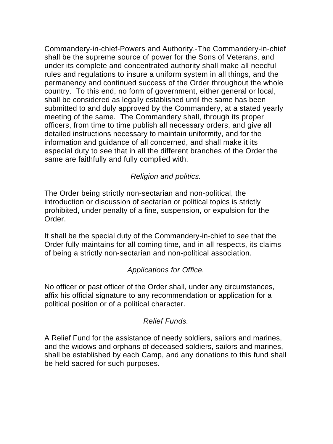Commandery-in-chief-Powers and Authority.-The Commandery-in-chief shall be the supreme source of power for the Sons of Veterans, and under its complete and concentrated authority shall make all needful rules and regulations to insure a uniform system in all things, and the permanency and continued success of the Order throughout the whole country. To this end, no form of government, either general or local, shall be considered as legally established until the same has been submitted to and duly approved by the Commandery, at a stated yearly meeting of the same. The Commandery shall, through its proper officers, from time to time publish all necessary orders, and give all detailed instructions necessary to maintain uniformity, and for the information and guidance of all concerned, and shall make it its especial duty to see that in all the different branches of the Order the same are faithfully and fully complied with.

# *Religion and politics.*

The Order being strictly non-sectarian and non-political, the introduction or discussion of sectarian or political topics is strictly prohibited, under penalty of a fine, suspension, or expulsion for the Order.

It shall be the special duty of the Commandery-in-chief to see that the Order fully maintains for all coming time, and in all respects, its claims of being a strictly non-sectarian and non-political association.

# *Applications for Office.*

No officer or past officer of the Order shall, under any circumstances, affix his official signature to any recommendation or application for a political position or of a political character.

# *Relief Funds.*

A Relief Fund for the assistance of needy soldiers, sailors and marines, and the widows and orphans of deceased soldiers, sailors and marines, shall be established by each Camp, and any donations to this fund shall be held sacred for such purposes.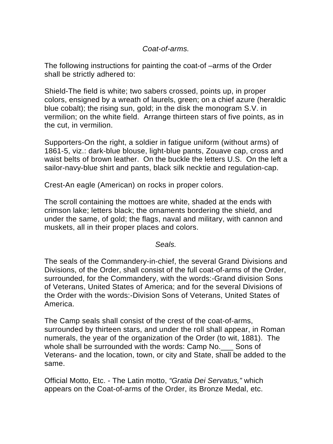# *Coat-of-arms.*

The following instructions for painting the coat-of –arms of the Order shall be strictly adhered to:

Shield-The field is white; two sabers crossed, points up, in proper colors, ensigned by a wreath of laurels, green; on a chief azure (heraldic blue cobalt); the rising sun, gold; in the disk the monogram S.V. in vermilion; on the white field. Arrange thirteen stars of five points, as in the cut, in vermilion.

Supporters-On the right, a soldier in fatigue uniform (without arms) of 1861-5, viz.: dark-blue blouse, light-blue pants, Zouave cap, cross and waist belts of brown leather. On the buckle the letters U.S. On the left a sailor-navy-blue shirt and pants, black silk necktie and regulation-cap.

Crest-An eagle (American) on rocks in proper colors.

The scroll containing the mottoes are white, shaded at the ends with crimson lake; letters black; the ornaments bordering the shield, and under the same, of gold; the flags, naval and military, with cannon and muskets, all in their proper places and colors.

*Seals.* 

The seals of the Commandery-in-chief, the several Grand Divisions and Divisions, of the Order, shall consist of the full coat-of-arms of the Order, surrounded, for the Commandery, with the words:-Grand division Sons of Veterans, United States of America; and for the several Divisions of the Order with the words:-Division Sons of Veterans, United States of America.

The Camp seals shall consist of the crest of the coat-of-arms, surrounded by thirteen stars, and under the roll shall appear, in Roman numerals, the year of the organization of the Order (to wit, 1881). The whole shall be surrounded with the words: Camp No.\_\_\_ Sons of Veterans- and the location, town, or city and State, shall be added to the same.

Official Motto, Etc. - The Latin motto, *"Gratia Dei Servatus,"* which appears on the Coat-of-arms of the Order, its Bronze Medal, etc.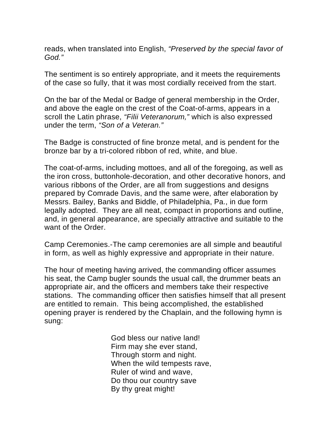reads, when translated into English, *"Preserved by the special favor of God."* 

The sentiment is so entirely appropriate, and it meets the requirements of the case so fully, that it was most cordially received from the start.

On the bar of the Medal or Badge of general membership in the Order, and above the eagle on the crest of the Coat-of-arms, appears in a scroll the Latin phrase, *"Filii Veteranorum,"* which is also expressed under the term, *"Son of a Veteran."* 

The Badge is constructed of fine bronze metal, and is pendent for the bronze bar by a tri-colored ribbon of red, white, and blue.

The coat-of-arms, including mottoes, and all of the foregoing, as well as the iron cross, buttonhole-decoration, and other decorative honors, and various ribbons of the Order, are all from suggestions and designs prepared by Comrade Davis, and the same were, after elaboration by Messrs. Bailey, Banks and Biddle, of Philadelphia, Pa., in due form legally adopted. They are all neat, compact in proportions and outline, and, in general appearance, are specially attractive and suitable to the want of the Order.

Camp Ceremonies.-The camp ceremonies are all simple and beautiful in form, as well as highly expressive and appropriate in their nature.

The hour of meeting having arrived, the commanding officer assumes his seat, the Camp bugler sounds the usual call, the drummer beats an appropriate air, and the officers and members take their respective stations. The commanding officer then satisfies himself that all present are entitled to remain. This being accomplished, the established opening prayer is rendered by the Chaplain, and the following hymn is sung:

> God bless our native land! Firm may she ever stand, Through storm and night. When the wild tempests rave, Ruler of wind and wave, Do thou our country save By thy great might!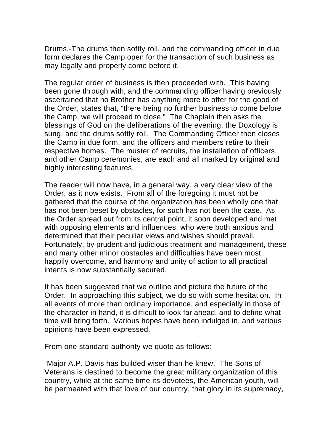Drums.-The drums then softly roll, and the commanding officer in due form declares the Camp open for the transaction of such business as may legally and properly come before it.

The regular order of business is then proceeded with. This having been gone through with, and the commanding officer having previously ascertained that no Brother has anything more to offer for the good of the Order, states that, "there being no further business to come before the Camp, we will proceed to close." The Chaplain then asks the blessings of God on the deliberations of the evening, the Doxology is sung, and the drums softly roll. The Commanding Officer then closes the Camp in due form, and the officers and members retire to their respective homes. The muster of recruits, the installation of officers, and other Camp ceremonies, are each and all marked by original and highly interesting features.

The reader will now have, in a general way, a very clear view of the Order, as it now exists. From all of the foregoing it must not be gathered that the course of the organization has been wholly one that has not been beset by obstacles, for such has not been the case. As the Order spread out from its central point, it soon developed and met with opposing elements and influences, who were both anxious and determined that their peculiar views and wishes should prevail. Fortunately, by prudent and judicious treatment and management, these and many other minor obstacles and difficulties have been most happily overcome, and harmony and unity of action to all practical intents is now substantially secured.

It has been suggested that we outline and picture the future of the Order. In approaching this subject, we do so with some hesitation. In all events of more than ordinary importance, and especially in those of the character in hand, it is difficult to look far ahead, and to define what time will bring forth. Various hopes have been indulged in, and various opinions have been expressed.

From one standard authority we quote as follows:

"Major A.P. Davis has builded wiser than he knew. The Sons of Veterans is destined to become the great military organization of this country, while at the same time its devotees, the American youth, will be permeated with that love of our country, that glory in its supremacy,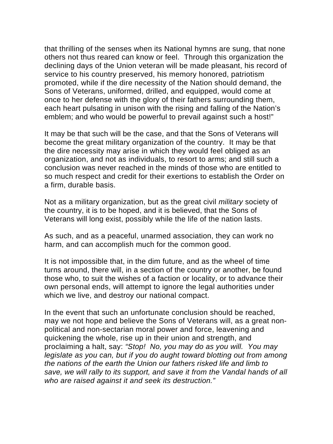that thrilling of the senses when its National hymns are sung, that none others not thus reared can know or feel. Through this organization the declining days of the Union veteran will be made pleasant, his record of service to his country preserved, his memory honored, patriotism promoted, while if the dire necessity of the Nation should demand, the Sons of Veterans, uniformed, drilled, and equipped, would come at once to her defense with the glory of their fathers surrounding them, each heart pulsating in unison with the rising and falling of the Nation's emblem; and who would be powerful to prevail against such a host!"

It may be that such will be the case, and that the Sons of Veterans will become the great military organization of the country. It may be that the dire necessity may arise in which they would feel obliged as an organization, and not as individuals, to resort to arms; and still such a conclusion was never reached in the minds of those who are entitled to so much respect and credit for their exertions to establish the Order on a firm, durable basis.

Not as a military organization, but as the great civil *military* society of the country, it is to be hoped, and it is believed, that the Sons of Veterans will long exist, possibly while the life of the nation lasts.

As such, and as a peaceful, unarmed association, they can work no harm, and can accomplish much for the common good.

It is not impossible that, in the dim future, and as the wheel of time turns around, there will, in a section of the country or another, be found those who, to suit the wishes of a faction or locality, or to advance their own personal ends, will attempt to ignore the legal authorities under which we live, and destroy our national compact.

In the event that such an unfortunate conclusion should be reached, may we not hope and believe the Sons of Veterans will, as a great nonpolitical and non-sectarian moral power and force, leavening and quickening the whole, rise up in their union and strength, and proclaiming a halt, say: *"Stop! No, you may do as you will. You may legislate as you can, but if you do aught toward blotting out from among the nations of the earth the Union our fathers risked life and limb to save, we will rally to its support, and save it from the Vandal hands of all who are raised against it and seek its destruction."*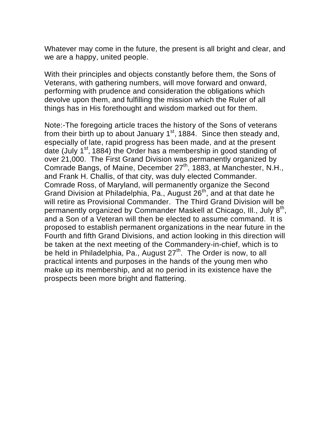Whatever may come in the future, the present is all bright and clear, and we are a happy, united people.

With their principles and objects constantly before them, the Sons of Veterans, with gathering numbers, will move forward and onward, performing with prudence and consideration the obligations which devolve upon them, and fulfilling the mission which the Ruler of all things has in His forethought and wisdom marked out for them.

Note:-The foregoing article traces the history of the Sons of veterans from their birth up to about January  $1<sup>st</sup>$ , 1884. Since then steady and, especially of late, rapid progress has been made, and at the present date (July  $1<sup>st</sup>$ , 1884) the Order has a membership in good standing of over 21,000. The First Grand Division was permanently organized by Comrade Bangs, of Maine, December 27<sup>th</sup>, 1883, at Manchester, N.H., and Frank H. Challis, of that city, was duly elected Commander. Comrade Ross, of Maryland, will permanently organize the Second Grand Division at Philadelphia, Pa., August 26<sup>th</sup>, and at that date he will retire as Provisional Commander. The Third Grand Division will be permanently organized by Commander Maskell at Chicago, Ill., July 8<sup>th</sup>, and a Son of a Veteran will then be elected to assume command. It is proposed to establish permanent organizations in the near future in the Fourth and fifth Grand Divisions, and action looking in this direction will be taken at the next meeting of the Commandery-in-chief, which is to be held in Philadelphia, Pa., August  $27<sup>th</sup>$ . The Order is now, to all practical intents and purposes in the hands of the young men who make up its membership, and at no period in its existence have the prospects been more bright and flattering.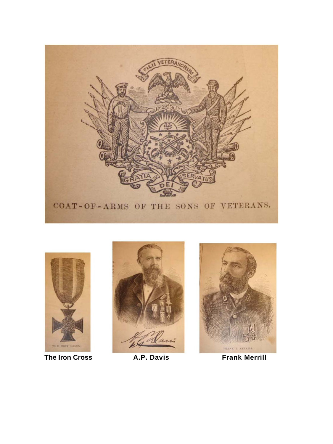







The Iron Cross **A.P. Davis** Frank Merrill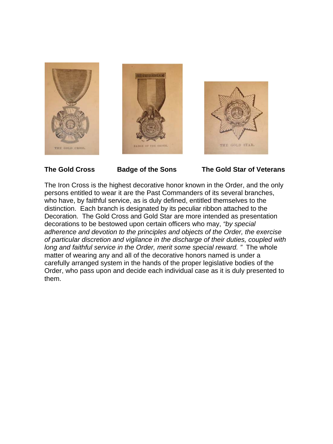





**The Gold Cross Badge of the Sons The Gold Star of Veterans** 

The Iron Cross is the highest decorative honor known in the Order, and the only persons entitled to wear it are the Past Commanders of its several branches, who have, by faithful service, as is duly defined, entitled themselves to the distinction. Each branch is designated by its peculiar ribbon attached to the Decoration. The Gold Cross and Gold Star are more intended as presentation decorations to be bestowed upon certain officers who may, *"by special adherence and devotion to the principles and objects of the Order, the exercise of particular discretion and vigilance in the discharge of their duties, coupled with long and faithful service in the Order, merit some special reward. "* The whole matter of wearing any and all of the decorative honors named is under a carefully arranged system in the hands of the proper legislative bodies of the Order, who pass upon and decide each individual case as it is duly presented to them.